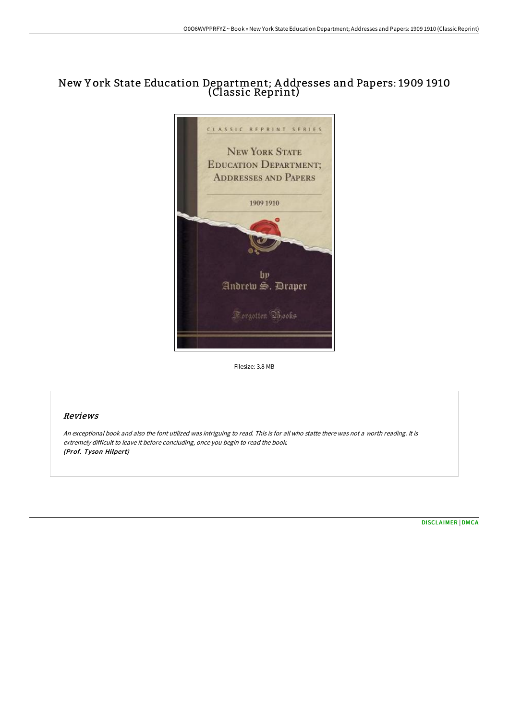# New Y ork State Education Department; A ddresses and Papers: 1909 1910 (Classic Reprint)



Filesize: 3.8 MB

# Reviews

An exceptional book and also the font utilized was intriguing to read. This is for all who statte there was not <sup>a</sup> worth reading. It is extremely difficult to leave it before concluding, once you begin to read the book. (Prof. Tyson Hilpert)

[DISCLAIMER](http://www.bookdirs.com/disclaimer.html) | [DMCA](http://www.bookdirs.com/dmca.html)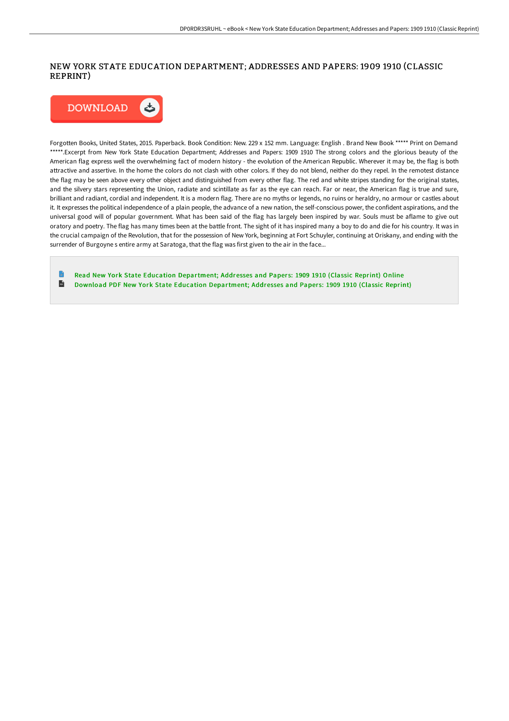## NEW YORK STATE EDUCATION DEPARTMENT; ADDRESSES AND PAPERS: 1909 1910 (CLASSIC REPRINT)



Forgotten Books, United States, 2015. Paperback. Book Condition: New. 229 x 152 mm. Language: English . Brand New Book \*\*\*\*\* Print on Demand \*\*\*\*\*.Excerpt from New York State Education Department; Addresses and Papers: 1909 1910 The strong colors and the glorious beauty of the American flag express well the overwhelming fact of modern history - the evolution of the American Republic. Wherever it may be, the flag is both attractive and assertive. In the home the colors do not clash with other colors. If they do not blend, neither do they repel. In the remotest distance the flag may be seen above every other object and distinguished from every other flag. The red and white stripes standing for the original states, and the silvery stars representing the Union, radiate and scintillate as far as the eye can reach. Far or near, the American flag is true and sure, brilliant and radiant, cordial and independent. It is a modern flag. There are no myths or legends, no ruins or heraldry, no armour or castles about it. It expresses the political independence of a plain people, the advance of a new nation, the self-conscious power, the confident aspirations, and the universal good will of popular government. What has been said of the flag has largely been inspired by war. Souls must be aflame to give out oratory and poetry. The flag has many times been at the battle front. The sight of it has inspired many a boy to do and die for his country. It was in the crucial campaign of the Revolution, that for the possession of New York, beginning at Fort Schuyler, continuing at Oriskany, and ending with the surrender of Burgoyne s entire army at Saratoga, that the flag was first given to the air in the face...

Read New York State Education [Department;](http://www.bookdirs.com/new-york-state-education-department-addresses-an.html) Addresses and Papers: 1909 1910 (Classic Reprint) Online  $\blacksquare$ Download PDF New York State Education [Department;](http://www.bookdirs.com/new-york-state-education-department-addresses-an.html) Addresses and Papers: 1909 1910 (Classic Reprint)